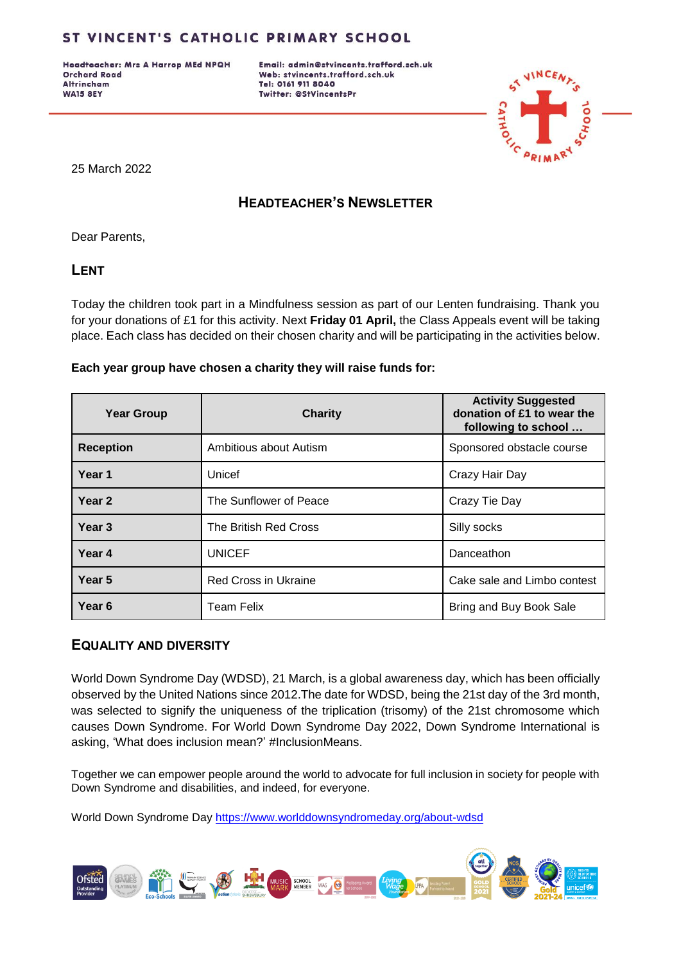Headteacher: Mrs A Harrop MEd NPQH **Orchard Road Altrincham WA15 8EY** 

Email: admin@stvincents.trafford.sch.uk Web: stvincents.trafford.sch.uk Tel: 0161 911 8040 Twitter: @StVincentsPr



25 March 2022

## **HEADTEACHER'S NEWSLETTER**

Dear Parents,

**LENT**

Today the children took part in a Mindfulness session as part of our Lenten fundraising. Thank you for your donations of £1 for this activity. Next **Friday 01 April,** the Class Appeals event will be taking place. Each class has decided on their chosen charity and will be participating in the activities below.

#### **Each year group have chosen a charity they will raise funds for:**

| <b>Year Group</b> | <b>Charity</b>              | <b>Activity Suggested</b><br>donation of £1 to wear the<br>following to school |  |
|-------------------|-----------------------------|--------------------------------------------------------------------------------|--|
| <b>Reception</b>  | Ambitious about Autism      | Sponsored obstacle course                                                      |  |
| Year 1            | Unicef                      | Crazy Hair Day                                                                 |  |
| Year 2            | The Sunflower of Peace      | Crazy Tie Day                                                                  |  |
| Year <sub>3</sub> | The British Red Cross       | Silly socks                                                                    |  |
| Year 4            | <b>UNICEF</b>               | Danceathon                                                                     |  |
| Year 5            | <b>Red Cross in Ukraine</b> | Cake sale and Limbo contest                                                    |  |
| Year <sub>6</sub> | <b>Team Felix</b>           | Bring and Buy Book Sale                                                        |  |

#### **EQUALITY AND DIVERSITY**

World Down Syndrome Day (WDSD), 21 March, is a global awareness day, which has been officially observed by the United Nations since 2012.The date for WDSD, being the 21st day of the 3rd month, was selected to signify the uniqueness of the triplication (trisomy) of the 21st chromosome which causes Down Syndrome. For World Down Syndrome Day 2022, Down Syndrome International is asking, 'What does inclusion mean?' #InclusionMeans.

Together we can empower people around the world to advocate for full inclusion in society for people with Down Syndrome and disabilities, and indeed, for everyone.

World Down Syndrome Day<https://www.worlddownsyndromeday.org/about-wdsd>

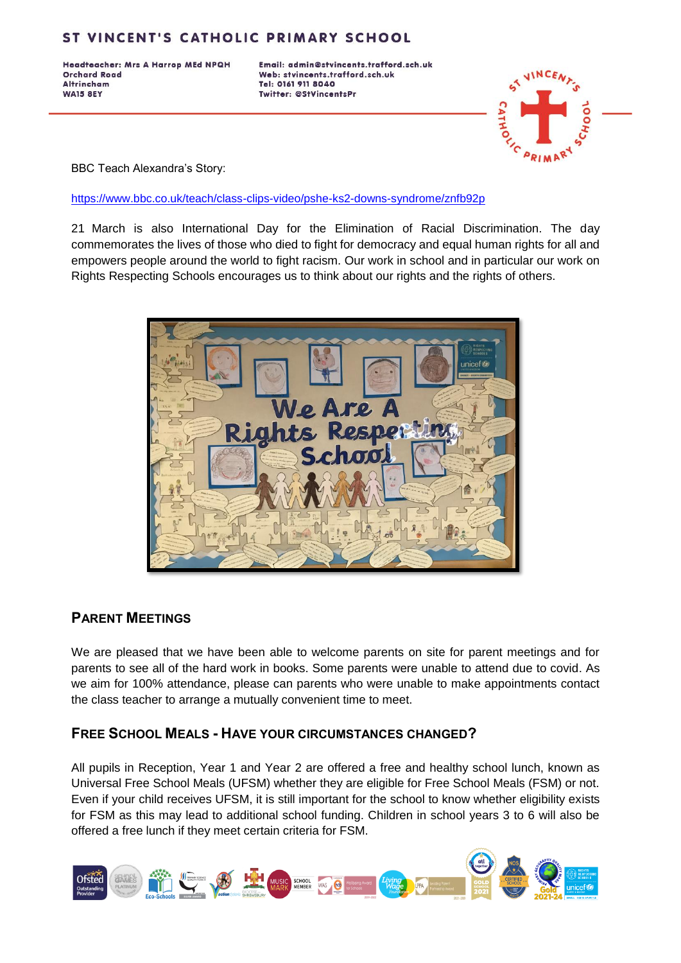Headteacher: Mrs A Harrop MEd NPQH **Orchard Road Altrincham WA15 8EY** 

Email: admin@stvincents.trafford.sch.uk Web: stvincents.trafford.sch.uk Tel: 0161 911 8040 Twitter: @StVincentsPr



BBC Teach Alexandra's Story:

<https://www.bbc.co.uk/teach/class-clips-video/pshe-ks2-downs-syndrome/znfb92p>

21 March is also International Day for the Elimination of Racial Discrimination. The day commemorates the lives of those who died to fight for democracy and equal human rights for all and empowers people around the world to fight racism. Our work in school and in particular our work on Rights Respecting Schools encourages us to think about our rights and the rights of others.



#### **PARENT MEETINGS**

We are pleased that we have been able to welcome parents on site for parent meetings and for parents to see all of the hard work in books. Some parents were unable to attend due to covid. As we aim for 100% attendance, please can parents who were unable to make appointments contact the class teacher to arrange a mutually convenient time to meet.

### **FREE SCHOOL MEALS - HAVE YOUR CIRCUMSTANCES CHANGED?**

All pupils in Reception, Year 1 and Year 2 are offered a free and healthy school lunch, known as Universal Free School Meals (UFSM) whether they are eligible for Free School Meals (FSM) or not. Even if your child receives UFSM, it is still important for the school to know whether eligibility exists for FSM as this may lead to additional school funding. Children in school years 3 to 6 will also be offered a free lunch if they meet certain criteria for FSM.

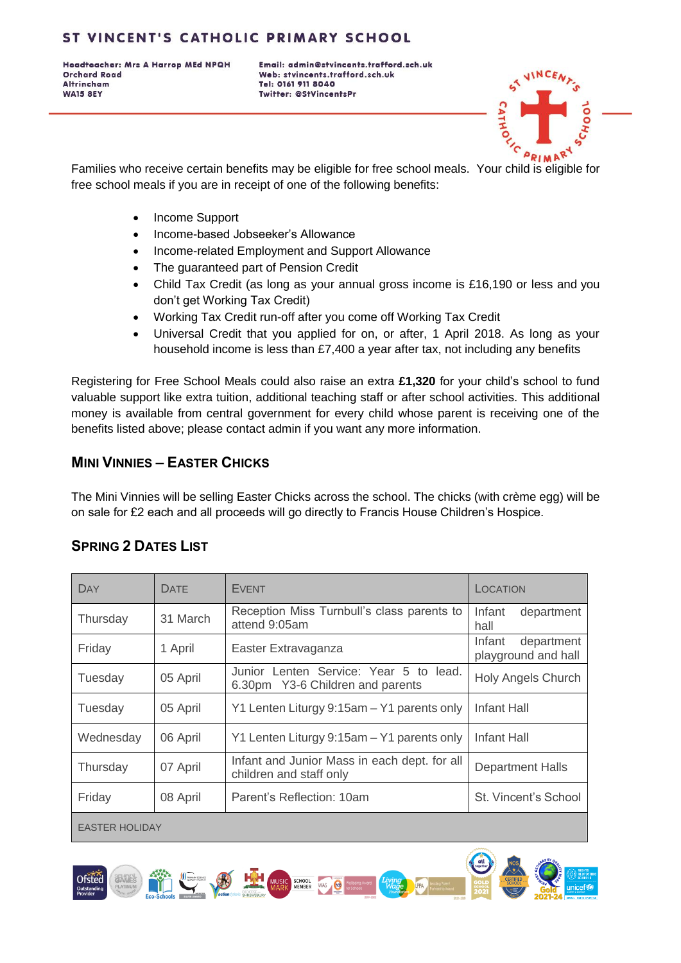Headteacher: Mrs A Harrop MEd NPQH **Orchard Road Altrincham WA15 8EY** 

Email: admin@stvincents.trafford.sch.uk Web: stvincents.trafford.sch.uk Tel: 0161 911 8040 Twitter: @StVincentsPr



Families who receive certain benefits may be eligible for free school meals. Your child is eligible for free school meals if you are in receipt of one of the following benefits:

- Income Support
- Income-based Jobseeker's Allowance
- Income-related Employment and Support Allowance
- The guaranteed part of Pension Credit
- Child Tax Credit (as long as your annual gross income is £16,190 or less and you don't get Working Tax Credit)
- Working Tax Credit run-off after you come off Working Tax Credit
- Universal Credit that you applied for on, or after, 1 April 2018. As long as your household income is less than £7,400 a year after tax, not including any benefits

Registering for Free School Meals could also raise an extra **£1,320** for your child's school to fund valuable support like extra tuition, additional teaching staff or after school activities. This additional money is available from central government for every child whose parent is receiving one of the benefits listed above; please contact admin if you want any more information.

## **MINI VINNIES – EASTER CHICKS**

The Mini Vinnies will be selling Easter Chicks across the school. The chicks (with crème egg) will be on sale for £2 each and all proceeds will go directly to Francis House Children's Hospice.

| DAY                   | <b>DATF</b> | <b>EVENT</b>                                                                  | LOCATION                                    |  |
|-----------------------|-------------|-------------------------------------------------------------------------------|---------------------------------------------|--|
| Thursday              | 31 March    | Reception Miss Turnbull's class parents to<br>attend 9:05am                   | Infant<br>department<br>hall                |  |
| Friday                | 1 April     | Easter Extravaganza                                                           | Infant<br>department<br>playground and hall |  |
| Tuesday               | 05 April    | Junior Lenten Service: Year 5 to<br>lead.<br>6.30pm Y3-6 Children and parents | <b>Holy Angels Church</b>                   |  |
| Tuesday               | 05 April    | Y1 Lenten Liturgy 9:15am - Y1 parents only                                    | Infant Hall                                 |  |
| Wednesday             | 06 April    | Y1 Lenten Liturgy 9:15am - Y1 parents only                                    | Infant Hall                                 |  |
| Thursday              | 07 April    | Infant and Junior Mass in each dept. for all<br>children and staff only       | <b>Department Halls</b>                     |  |
| Friday                | 08 April    | Parent's Reflection: 10am                                                     | St. Vincent's School                        |  |
| <b>EASTER HOLIDAY</b> |             |                                                                               |                                             |  |

# **SPRING 2 DATES LIST**